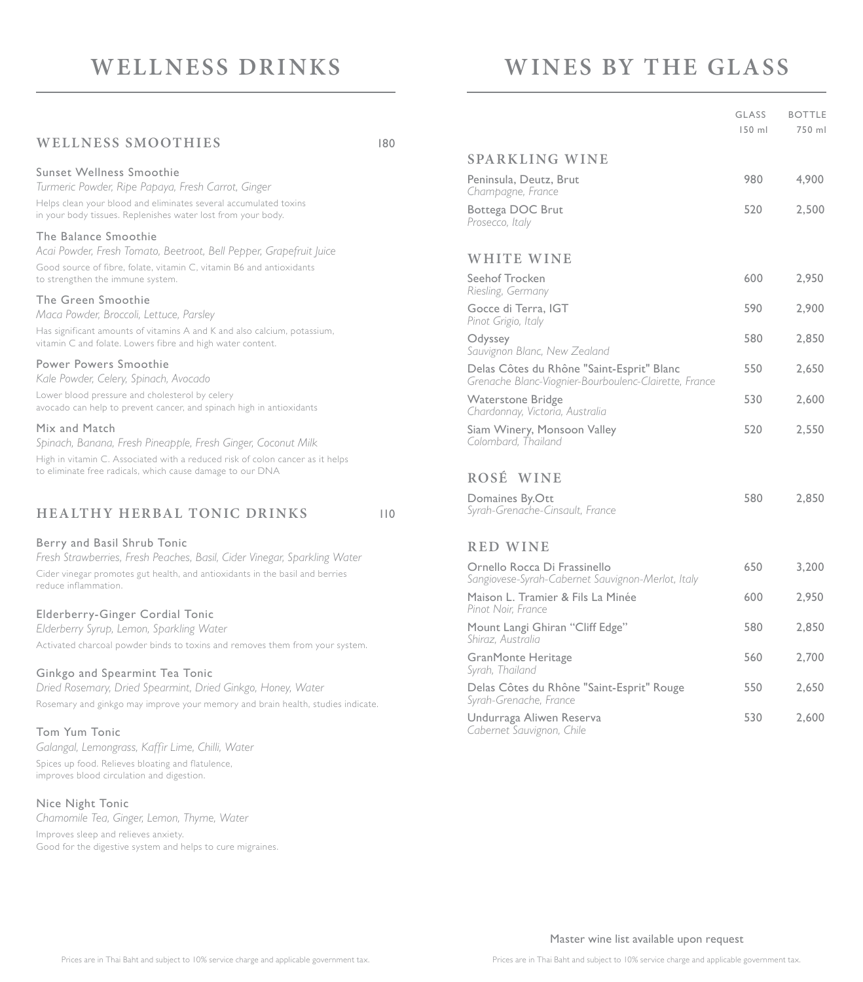# **WELLNESS DRINKS**

# **WINES BY THE GLASS**

| <b>WELLNESS SMOOTHIES</b>                                                                                                                                | 180 |                          |
|----------------------------------------------------------------------------------------------------------------------------------------------------------|-----|--------------------------|
|                                                                                                                                                          |     | <b>SPARE</b>             |
| Sunset Wellness Smoothie<br>Turmeric Powder, Ripe Papaya, Fresh Carrot, Ginger                                                                           |     | Peninsula<br>Champag     |
| Helps clean your blood and eliminates several accumulated toxins<br>in your body tissues. Replenishes water lost from your body.                         |     | Bottega I<br>Prosecco,   |
| The Balance Smoothie                                                                                                                                     |     |                          |
| Acai Powder, Fresh Tomato, Beetroot, Bell Pepper, Grapefruit Juice                                                                                       |     | WHIT                     |
| Good source of fibre, folate, vitamin C, vitamin B6 and antioxidants<br>to strengthen the immune system.                                                 |     | Seehof Ti<br>Riesling, G |
| The Green Smoothie<br>Maca Powder, Broccoli, Lettuce, Parsley                                                                                            |     | Gocce di<br>Pinot Grig   |
| Has significant amounts of vitamins A and K and also calcium, potassium,<br>vitamin C and folate. Lowers fibre and high water content.                   |     | Odyssey<br>Sauvignon     |
| <b>Power Powers Smoothie</b><br>Kale Powder, Celery, Spinach, Avocado                                                                                    |     | Delas Cô<br>Grenache     |
| Lower blood pressure and cholesterol by celery<br>avocado can help to prevent cancer, and spinach high in antioxidants                                   |     | Watersto<br>Chardonn     |
| Mix and Match<br>Spinach, Banana, Fresh Pineapple, Fresh Ginger, Coconut Milk                                                                            |     | Siam Wir<br>Colombar     |
| High in vitamin C. Associated with a reduced risk of colon cancer as it helps                                                                            |     |                          |
| to eliminate free radicals, which cause damage to our DNA                                                                                                |     | ROSÉ                     |
| <b>HEALTHY HERBAL TONIC DRINKS</b>                                                                                                                       | 110 | Domaine<br>Syrah-Gre     |
| Berry and Basil Shrub Tonic                                                                                                                              |     | <b>RED V</b>             |
| Fresh Strawberries, Fresh Peaches, Basil, Cider Vinegar, Sparkling Water<br>Cider vinegar promotes gut health, and antioxidants in the basil and berries |     | Ornello F<br>Conationoc  |

#### Elderberry-Ginger Cordial Tonic

*Elderberry Syrup, Lemon, Sparkling Water* Activated charcoal powder binds to toxins and removes them from your system.

#### Ginkgo and Spearmint Tea Tonic

*Dried Rosemary, Dried Spearmint, Dried Ginkgo, Honey, Water* Rosemary and ginkgo may improve your memory and brain health, studies indicate.

#### Tom Yum Tonic

reduce inflammation.

*Galangal, Lemongrass, Kaffir Lime, Chilli, Water* Spices up food. Relieves bloating and flatulence, improves blood circulation and digestion.

#### Nice Night Tonic

*Chamomile Tea, Ginger, Lemon, Thyme, Water*

Improves sleep and relieves anxiety. Good for the digestive system and helps to cure migraines.

|                                                                                                    | <b>GLASS</b><br>$150$ ml | <b>BOTTLE</b><br>750 ml |
|----------------------------------------------------------------------------------------------------|--------------------------|-------------------------|
| <b>SPARKLING WINE</b>                                                                              |                          |                         |
| Peninsula, Deutz, Brut<br>Champagne, France                                                        | 980                      | 4,900                   |
| Bottega DOC Brut<br>Prosecco, Italy                                                                | 520                      | 2,500                   |
| <b>WHITE WINE</b>                                                                                  |                          |                         |
| Seehof Trocken<br>Riesling, Germany                                                                | 600                      | 2,950                   |
| Gocce di Terra, IGT<br>Pinot Grigio, Italy                                                         | 590                      | 2,900                   |
| Odyssey<br>Sauvignon Blanc, New Zealand                                                            | 580                      | 2,850                   |
| Delas Côtes du Rhône "Saint-Esprit" Blanc<br>Grenache Blanc-Viognier-Bourboulenc-Clairette, France | 550                      | 2,650                   |
| <b>Waterstone Bridge</b><br>Chardonnay, Victoria, Australia                                        | 530                      | 2,600                   |
| Siam Winery, Monsoon Valley<br>Colombard, Thailand                                                 | 520                      | 2,550                   |
| ROSÉ WINE                                                                                          |                          |                         |
| Domaines By.Ott<br>Syrah-Grenache-Cinsault, France                                                 | 580                      | 2,850                   |
| <b>RED WINE</b>                                                                                    |                          |                         |
| Ornello Rocca Di Frassinello<br>Sangiovese-Syrah-Cabernet Sauvignon-Merlot, Italy                  | 650                      | 3,200                   |
| Maison L. Tramier & Fils La Minée<br>Pinot Noir, France                                            | 600                      | 2,950                   |
| Mount Langi Ghiran "Cliff Edge"<br>Shiraz, Australia                                               | 580                      | 2,850                   |
| GranMonte Heritage<br>Syrah, Thailand                                                              | 560                      | 2,700                   |

#### *Syrah-Grenache, France* Undurraga Aliwen Reserva 530 2,600 *Cabernet Sauvignon, Chile*

Delas Côtes du Rhône "Saint-Esprit" Rouge 550 2,650

Master wine list available upon request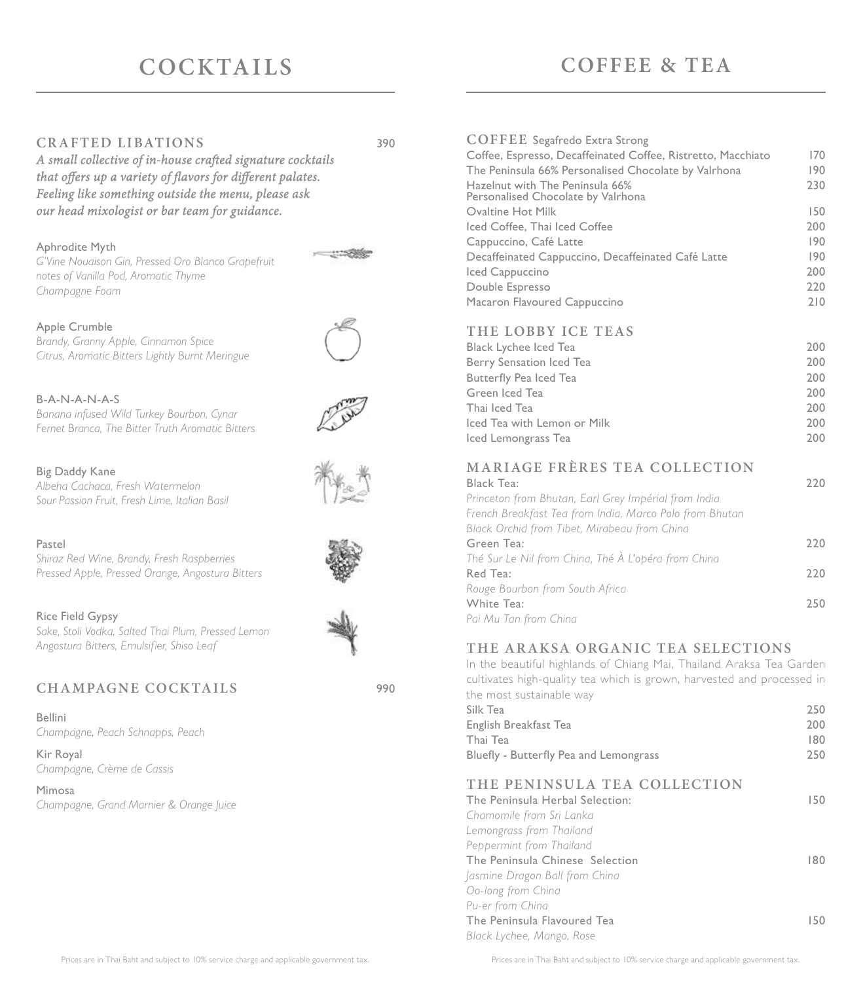# **COCKTAILS**

#### **CRAFTED LIBATIONS** 390

A small collective of in-house crafted signature cocktails that offers up a variety of flavors for different palates. *Feeling like something outside the menu, please ask our head mixologist or bar team for guidance.*

#### Aphrodite Myth

*G'Vine Nouaison Gin, Pressed Oro Blanco Grapefruit notes of Vanilla Pod, Aromatic Thyme Champagne Foam*

#### Apple Crumble

*Brandy, Granny Apple, Cinnamon Spice Citrus, Aromatic Bitters Lightly Burnt Meringue*

#### B-A-N-A-N-A-S

*Banana infused Wild Turkey Bourbon, Cynar Fernet Branca, The Bitter Truth Aromatic Bitters*

#### Big Daddy Kane

*Albeha Cachaca, Fresh Watermelon Sour Passion Fruit, Fresh Lime, Italian Basil*

#### Pastel

*Shiraz Red Wine, Brandy, Fresh Raspberries Pressed Apple, Pressed Orange, Angostura Bitters*

#### Rice Field Gypsy

*Sake, Stoli Vodka, Salted Thai Plum, Pressed Lemon Angostura Bitters, Emulsifier, Shiso Leaf*

### **CHAMPAGNE COCKTAILS** 990

Bellini *Champagne, Peach Schnapps, Peach*

Kir Royal *Champagne, Crème de Cassis*

Mimosa *Champagne, Grand Marnier & Orange Juice*

| Iced Cappuccino                 | 200 |
|---------------------------------|-----|
| Double Espresso                 | 220 |
| Macaron Flavoured Cappuccino    | 210 |
| THE LOBBY ICE TEAS              |     |
| Black Lychee Iced Tea           | 200 |
| <b>Berry Sensation Iced Tea</b> | 200 |

**COFFEE** Segafredo Extra Strong

Personalised Chocolate by Valrhona

| Berry Sensation Iced Tea    | 200 |
|-----------------------------|-----|
| Butterfly Pea Iced Tea      | 200 |
| Green Iced Tea              | 200 |
| Thai Iced Tea               | 200 |
| Iced Tea with Lemon or Milk | 200 |
| Iced Lemongrass Tea         | 200 |

# **MARIAGE FRÈRES TEA COLLECTION**

| Black Tea:                                              | 220 |
|---------------------------------------------------------|-----|
| Princeton from Bhutan, Earl Grey Impérial from India    |     |
| French Breakfast Tea from India, Marco Polo from Bhutan |     |
| Black Orchid from Tibet, Mirabeau from China            |     |
| Green Tea:                                              | 220 |
| Thé Sur Le Nil from China, Thé À L'opéra from China     |     |
| Red Tea:                                                | 220 |
| Rouge Bourbon from South Africa                         |     |
| White Tea:                                              | 250 |
| Pai Mu Tan from China                                   |     |

### **THE ARAKSA ORGANIC TEA SELECTIONS**

In the beautiful highlands of Chiang Mai, Thailand Araksa Tea Garden cultivates high-quality tea which is grown, harvested and processed in the most sustainable way

| Silk Tea                               | 250  |
|----------------------------------------|------|
| English Breakfast Tea                  | 200  |
| Thai Tea                               | 180. |
| Bluefly - Butterfly Pea and Lemongrass | 250  |
|                                        |      |

## **THE PENINSULA TEA COLLECTION**

| The Peninsula Herbal Selection: | 150 |
|---------------------------------|-----|
| Chamomile from Sri Lanka        |     |
| Lemongrass from Thailand        |     |
| Peppermint from Thailand        |     |
| The Peninsula Chinese Selection | 180 |
| Jasmine Dragon Ball from China  |     |
| Oo-long from China              |     |
| Pu-er from China                |     |
| The Peninsula Flavoured Tea     | 150 |
| Black Lychee, Mango, Rose       |     |

# **COFFEE & TEA**

Coffee, Espresso, Decaffeinated Coffee, Ristretto, Macchiato 170 The Peninsula 66% Personalised Chocolate by Valrhona 190 Hazelnut with The Peninsula 66% 230

Ovaltine Hot Milk 150 Iced Coffee, Thai Iced Coffee 200 Cappuccino, Café Latte 190 Decaffeinated Cappuccino, Decaffeinated Café Latte 190







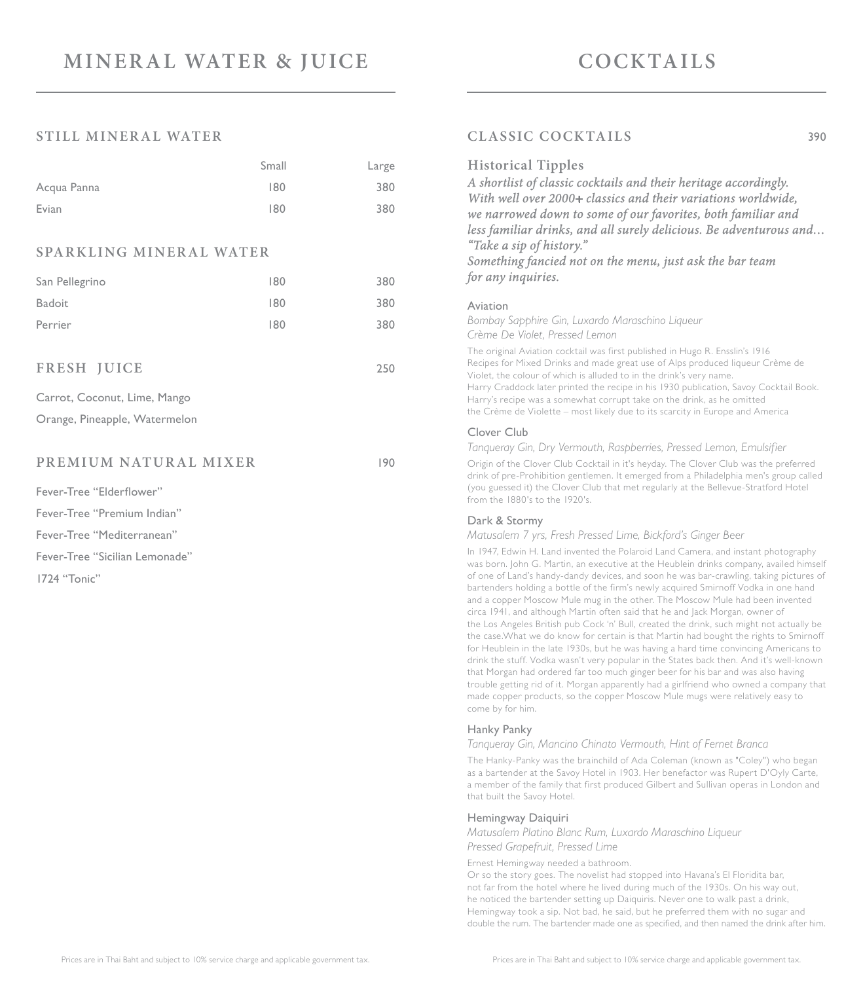#### **STILL MINERAL WATER**

|                                | Small | Large |
|--------------------------------|-------|-------|
| Acqua Panna                    | 180   | 380   |
| Evian                          | 180   | 380   |
|                                |       |       |
| <b>SPARKLING MINERAL WATER</b> |       |       |
| San Pellegrino                 | 180   | 380   |
| <b>Badoit</b>                  | 180   | 380   |
| Perrier                        | 180   | 380   |
|                                |       |       |
| <b>FRESH JUICE</b>             |       | 250   |
| Carrot, Coconut, Lime, Mango   |       |       |
| Orange, Pineapple, Watermelon  |       |       |
|                                |       |       |
| PREMIUM NATURAL MIXER          |       | 190   |
| Fever-Tree "Elderflower"       |       |       |
| Fever-Tree "Premium Indian"    |       |       |
| Fever-Tree "Mediterranean"     |       |       |
| Fever-Tree "Sicilian Lemonade" |       |       |
| 1724 "Tonic"                   |       |       |

### **CLASSIC COCKTAILS** 390

#### **Historical Tipples**

*A shortlist of classic cocktails and their heritage accordingly. With well over 2000+ classics and their variations worldwide, we narrowed down to some of our favorites, both familiar and less familiar drinks, and all surely delicious. Be adventurous and… "Take a sip of history."*

*Something fancied not on the menu, just ask the bar team for any inquiries.*

#### Aviation

*Bombay Sapphire Gin, Luxardo Maraschino Liqueur Crème De Violet, Pressed Lemon*

The original Aviation cocktail was first published in Hugo R. Ensslin's 1916 Recipes for Mixed Drinks and made great use of Alps produced liqueur Crème de Violet, the colour of which is alluded to in the drink's very name. Harry Craddock later printed the recipe in his 1930 publication, Savoy Cocktail Book. Harry's recipe was a somewhat corrupt take on the drink, as he omitted the Crème de Violette – most likely due to its scarcity in Europe and America

#### Clover Club

*Tanqueray Gin, Dry Vermouth, Raspberries, Pressed Lemon, Emulsifier*

Origin of the Clover Club Cocktail in it's heyday. The Clover Club was the preferred drink of pre-Prohibition gentlemen. It emerged from a Philadelphia men's group called (you guessed it) the Clover Club that met regularly at the Bellevue-Stratford Hotel from the 1880's to the 1920's.

#### Dark & Stormy

*Matusalem 7 yrs, Fresh Pressed Lime, Bickford's Ginger Beer*

In 1947, Edwin H. Land invented the Polaroid Land Camera, and instant photography was born. John G. Martin, an executive at the Heublein drinks company, availed himself of one of Land's handy-dandy devices, and soon he was bar-crawling, taking pictures of bartenders holding a bottle of the firm's newly acquired Smirnoff Vodka in one hand and a copper Moscow Mule mug in the other. The Moscow Mule had been invented circa 1941, and although Martin often said that he and Jack Morgan, owner of the Los Angeles British pub Cock 'n' Bull, created the drink, such might not actually be the case.What we do know for certain is that Martin had bought the rights to Smirnoff for Heublein in the late 1930s, but he was having a hard time convincing Americans to drink the stuff. Vodka wasn't very popular in the States back then. And it's well-known that Morgan had ordered far too much ginger beer for his bar and was also having trouble getting rid of it. Morgan apparently had a girlfriend who owned a company that made copper products, so the copper Moscow Mule mugs were relatively easy to come by for him.

#### Hanky Panky

*Tanqueray Gin, Mancino Chinato Vermouth, Hint of Fernet Branca*

The Hanky-Panky was the brainchild of Ada Coleman (known as "Coley") who began as a bartender at the Savoy Hotel in 1903. Her benefactor was Rupert D'Oyly Carte, a member of the family that first produced Gilbert and Sullivan operas in London and that built the Savoy Hotel.

#### Hemingway Daiquiri

*Matusalem Platino Blanc Rum, Luxardo Maraschino Liqueur Pressed Grapefruit, Pressed Lime*

Ernest Hemingway needed a bathroom.

Or so the story goes. The novelist had stopped into Havana's El Floridita bar, not far from the hotel where he lived during much of the 1930s. On his way out, he noticed the bartender setting up Daiquiris. Never one to walk past a drink, Hemingway took a sip. Not bad, he said, but he preferred them with no sugar and double the rum. The bartender made one as specified, and then named the drink after him.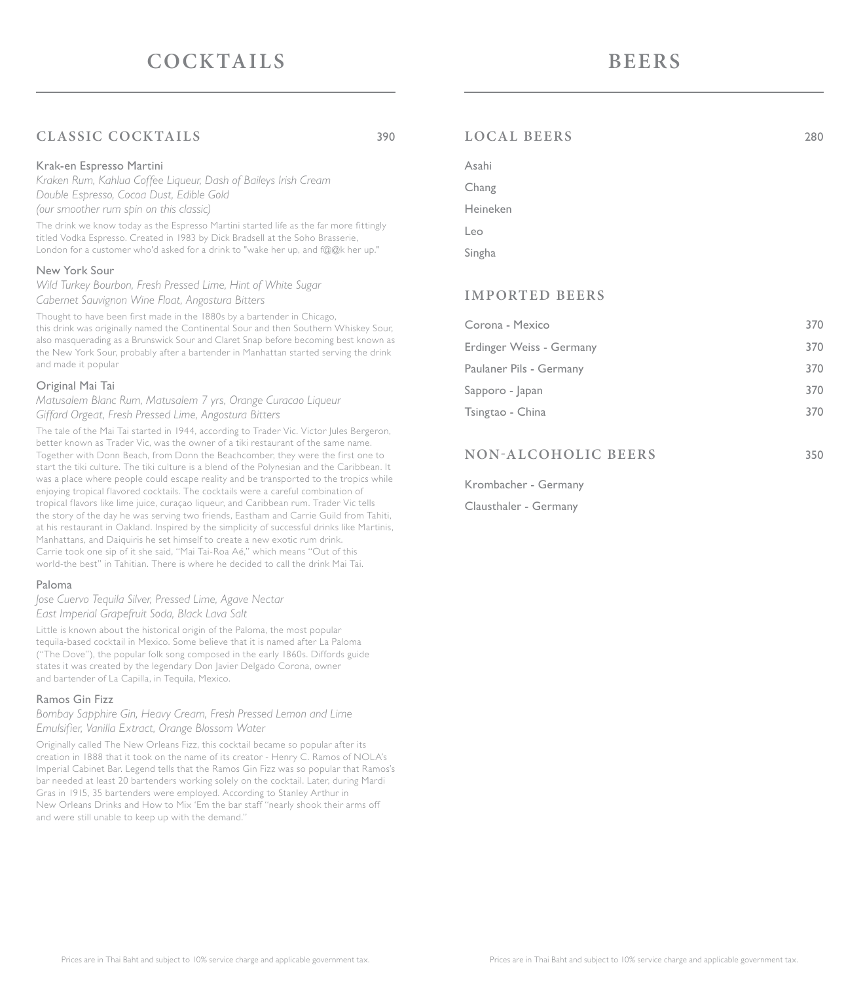# **CLASSIC COCKTAILS** 390

#### Krak-en Espresso Martini

*Kraken Rum, Kahlua Coffee Liqueur, Dash of Baileys Irish Cream Double Espresso, Cocoa Dust, Edible Gold (our smoother rum spin on this classic)*

The drink we know today as the Espresso Martini started life as the far more fittingly titled Vodka Espresso. Created in 1983 by Dick Bradsell at the Soho Brasserie, London for a customer who'd asked for a drink to "wake her up, and f@@k her up."

#### New York Sour

*Wild Turkey Bourbon, Fresh Pressed Lime, Hint of White Sugar Cabernet Sauvignon Wine Float, Angostura Bitters*

Thought to have been first made in the 1880s by a bartender in Chicago, this drink was originally named the Continental Sour and then Southern Whiskey Sour, also masquerading as a Brunswick Sour and Claret Snap before becoming best known as the New York Sour, probably after a bartender in Manhattan started serving the drink and made it popular

#### Original Mai Tai

*Matusalem Blanc Rum, Matusalem 7 yrs, Orange Curacao Liqueur Giffard Orgeat, Fresh Pressed Lime, Angostura Bitters*

The tale of the Mai Tai started in 1944, according to Trader Vic. Victor Jules Bergeron, better known as Trader Vic, was the owner of a tiki restaurant of the same name. Together with Donn Beach, from Donn the Beachcomber, they were the first one to start the tiki culture. The tiki culture is a blend of the Polynesian and the Caribbean. It was a place where people could escape reality and be transported to the tropics while enjoying tropical flavored cocktails. The cocktails were a careful combination of tropical flavors like lime juice, curaçao liqueur, and Caribbean rum. Trader Vic tells the story of the day he was serving two friends, Eastham and Carrie Guild from Tahiti, at his restaurant in Oakland. Inspired by the simplicity of successful drinks like Martinis, Manhattans, and Daiquiris he set himself to create a new exotic rum drink. Carrie took one sip of it she said, "Mai Tai-Roa Aé," which means "Out of this world-the best" in Tahitian. There is where he decided to call the drink Mai Tai.

#### Paloma

*Jose Cuervo Tequila Silver, Pressed Lime, Agave Nectar East Imperial Grapefruit Soda, Black Lava Salt*

Little is known about the historical origin of the Paloma, the most popular tequila-based cocktail in Mexico. Some believe that it is named after La Paloma ("The Dove"), the popular folk song composed in the early 1860s. Diffords guide states it was created by the legendary Don Javier Delgado Corona, owner and bartender of La Capilla, in Tequila, Mexico.

#### Ramos Gin Fizz

*Bombay Sapphire Gin, Heavy Cream, Fresh Pressed Lemon and Lime Emulsifier, Vanilla Extract, Orange Blossom Water*

Originally called The New Orleans Fizz, this cocktail became so popular after its creation in 1888 that it took on the name of its creator - Henry C. Ramos of NOLA's Imperial Cabinet Bar. Legend tells that the Ramos Gin Fizz was so popular that Ramos's bar needed at least 20 bartenders working solely on the cocktail. Later, during Mardi Gras in 1915, 35 bartenders were employed. According to Stanley Arthur in New Orleans Drinks and How to Mix 'Em the bar staff "nearly shook their arms off and were still unable to keep up with the demand."

# Krombacher - Germany

Clausthaler - Germany

### **LOCAL BEERS** 280

| Asahi    |  |
|----------|--|
| Chang    |  |
| Heineken |  |
| Leo      |  |
| Singha   |  |

#### **IMPORTED BEERS**

| Corona - Mexico          | 370 |
|--------------------------|-----|
| Erdinger Weiss - Germany | 370 |
| Paulaner Pils - Germany  | 370 |
| Sapporo - Japan          | 370 |
| Tsingtao - China         | 370 |
|                          |     |

**NON-ALCOHOLIC BEERS** 350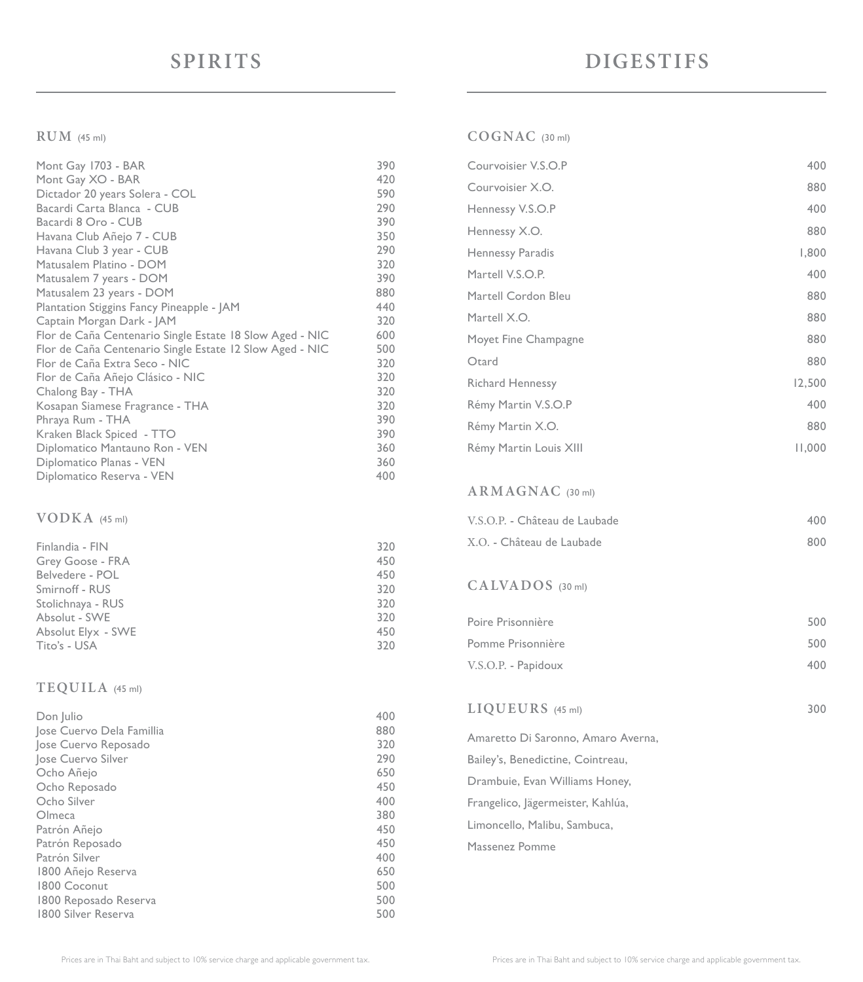#### **RUM** (45 ml)

| Mont Gay 1703 - BAR                                      | 390 |
|----------------------------------------------------------|-----|
| Mont Gay XO - BAR                                        | 420 |
| Dictador 20 years Solera - COL                           | 590 |
| Bacardi Carta Blanca - CUB                               | 290 |
| Bacardi 8 Oro - CUB                                      | 390 |
| Havana Club Añejo 7 - CUB                                | 350 |
| Havana Club 3 year - CUB                                 | 290 |
| Matusalem Platino - DOM                                  | 320 |
|                                                          |     |
| Matusalem 7 years - DOM                                  | 390 |
| Matusalem 23 years - DOM                                 | 880 |
| Plantation Stiggins Fancy Pineapple - JAM                | 440 |
| Captain Morgan Dark - JAM                                | 320 |
| Flor de Caña Centenario Single Estate 18 Slow Aged - NIC | 600 |
| Flor de Caña Centenario Single Estate 12 Slow Aged - NIC | 500 |
| Flor de Caña Extra Seco - NIC                            | 320 |
| Flor de Caña Añejo Clásico - NIC                         | 320 |
| Chalong Bay - THA                                        | 320 |
| Kosapan Siamese Fragrance - THA                          | 320 |
| Phraya Rum - THA                                         | 390 |
| Kraken Black Spiced - TTO                                | 390 |
| Diplomatico Mantauno Ron - VEN                           | 360 |
|                                                          | 360 |
| Diplomatico Planas - VEN                                 |     |
| Diplomatico Reserva - VEN                                | 400 |

#### **VODKA** (45 ml)

| Finlandia - FIN    | 320 |
|--------------------|-----|
| Grey Goose - FRA   | 450 |
| Belvedere - POL    | 450 |
| Smirnoff - RUS     | 320 |
| Stolichnaya - RUS  | 320 |
| Absolut - SWE      | 320 |
| Absolut Elyx - SWE | 450 |
| Tito's - USA       | 320 |

#### **TEQUILA** (45 ml)

| Don Julio                 | 400 |
|---------------------------|-----|
| Jose Cuervo Dela Famillia | 880 |
| Jose Cuervo Reposado      | 320 |
| Jose Cuervo Silver        | 290 |
| Ocho Añejo                | 650 |
| Ocho Reposado             | 450 |
| Ocho Silver               | 400 |
| Olmeca                    | 380 |
| Patrón Añejo              | 450 |
| Patrón Reposado           | 450 |
| Patrón Silver             | 400 |
| 1800 Añejo Reserva        | 650 |
| 1800 Coconut              | 500 |
| 1800 Reposado Reserva     | 500 |
| 1800 Silver Reserva       | 500 |

### **COGNAC** (30 ml)

| Courvoisier V.S.O.P     | 400    |
|-------------------------|--------|
| Courvoisier X.O.        | 880    |
| Hennessy V.S.O.P        | 400    |
| Hennessy X.O.           | 880    |
| Hennessy Paradis        | 1,800  |
| Martell V.S.O.P.        | 400    |
| Martell Cordon Bleu     | 880    |
| Martell X.O.            | 880    |
| Moyet Fine Champagne    | 880    |
| Otard                   | 880    |
| <b>Richard Hennessy</b> | 12,500 |
| Rémy Martin V.S.O.P     | 400    |
| Rémy Martin X.O.        | 880    |
| Rémy Martin Louis XIII  | 11,000 |

#### **ARMAGNAC** (30 ml)

| V.S.O.P. - Château de Laubade | 400 |
|-------------------------------|-----|
| X.O. - Château de Laubade     | 800 |

#### **CA LVA DOS** (30 ml)

| Poire Prisonnière   | 500 |
|---------------------|-----|
| Pomme Prisonnière   | 500 |
| V.S.O.P. - Papidoux | 400 |

### **LIQUEURS** (45 ml) 300

Amaretto Di Saronno, Amaro Averna, Bailey's, Benedictine, Cointreau, Drambuie, Evan Williams Honey, Frangelico, Jägermeister, Kahlúa, Limoncello, Malibu, Sambuca, Massenez Pomme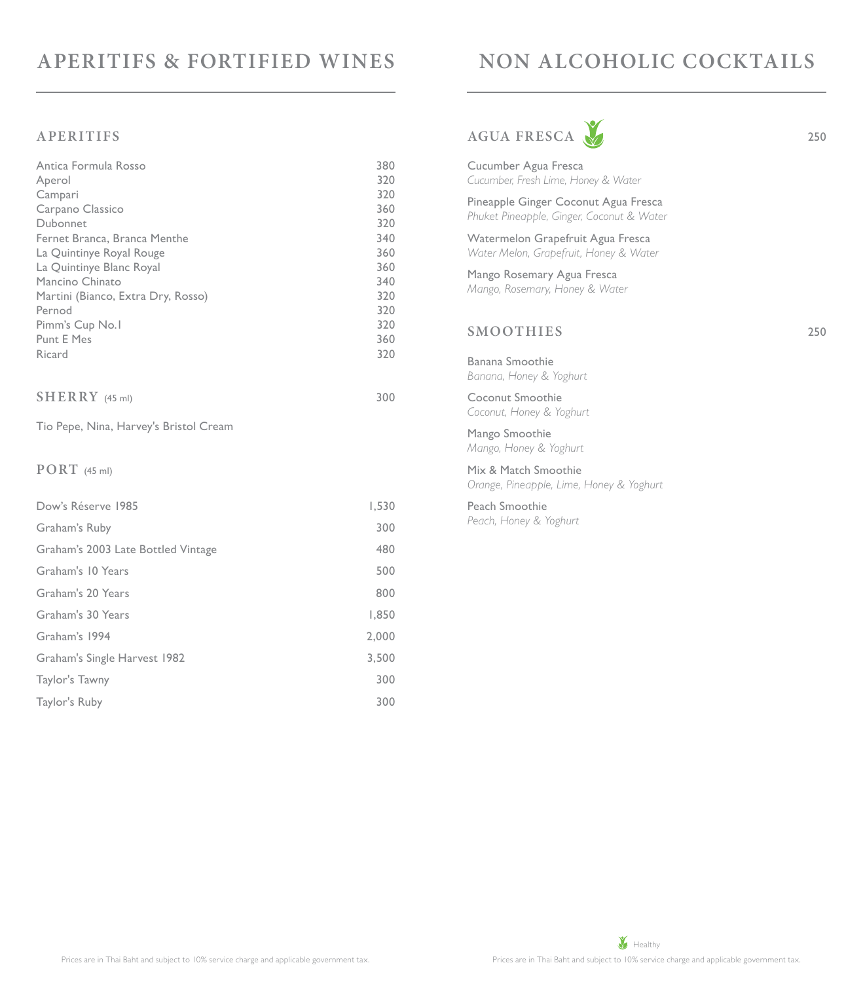# **APERITIFS & FORTIFIED WINES**

# **NON ALCOHOLIC COCKTAILS**

#### **APERITIFS**

| Antica Formula Rosso                   | 380 |
|----------------------------------------|-----|
| Aperol                                 | 320 |
| Campari                                | 320 |
| Carpano Classico                       | 360 |
| Dubonnet                               | 320 |
| Fernet Branca, Branca Menthe           | 340 |
| La Quintinye Royal Rouge               | 360 |
| La Quintinye Blanc Royal               | 360 |
| Mancino Chinato                        | 340 |
| Martini (Bianco, Extra Dry, Rosso)     | 320 |
| Pernod                                 | 320 |
| Pimm's Cup No.1                        | 320 |
| <b>Punt E Mes</b>                      | 360 |
| Ricard                                 | 320 |
| $SHERRY$ (45 ml)                       | 300 |
| Tio Pepe, Nina, Harvey's Bristol Cream |     |
|                                        |     |

#### **PORT** (45 ml)

| Dow's Réserve 1985                 | 1,530 |
|------------------------------------|-------|
| Graham's Ruby                      | 300   |
| Graham's 2003 Late Bottled Vintage | 480   |
| Graham's 10 Years                  | 500   |
| Graham's 20 Years                  | 800   |
| Graham's 30 Years                  | 1,850 |
| Graham's 1994                      | 2,000 |
| Graham's Single Harvest 1982       | 3,500 |
| Taylor's Tawny                     | 300   |
| Taylor's Ruby                      | 300   |
|                                    |       |

# AGUA FRESCA 250



Cucumber Agua Fresca *Cucumber, Fresh Lime, Honey & Water* Pineapple Ginger Coconut Agua Fresca *Phuket Pineapple, Ginger, Coconut & Water* Watermelon Grapefruit Agua Fresca *Water Melon, Grapefruit, Honey & Water* Mango Rosemary Agua Fresca *Mango, Rosemary, Honey & Water* **SMOOTHIES** 250 Banana Smoothie *Banana, Honey & Yoghurt* Coconut Smoothie *Coconut, Honey & Yoghurt* Mango Smoothie *Mango, Honey & Yoghurt* Mix & Match Smoothie *Orange, Pineapple, Lime, Honey & Yoghurt* Peach Smoothie *Peach, Honey & Yoghurt*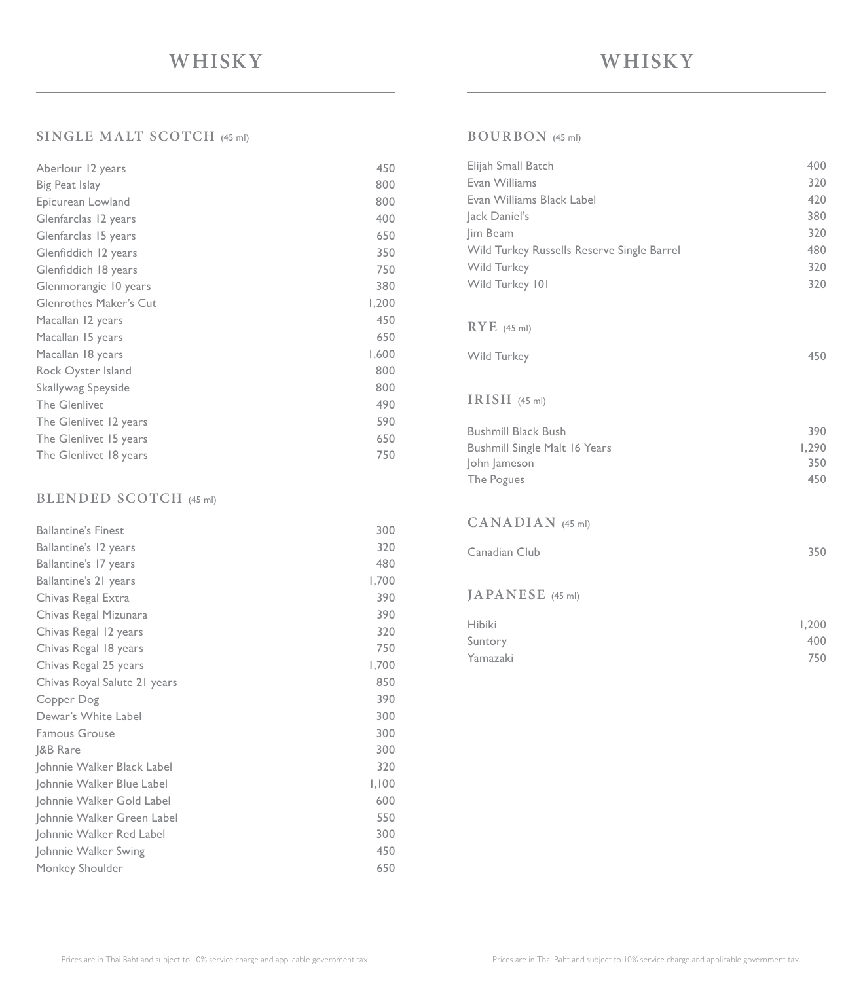## **SINGLE MALT SCOTCH** (45 ml)

| Aberlour 12 years             | 450   |
|-------------------------------|-------|
| Big Peat Islay                | 800   |
| Epicurean Lowland             | 800   |
| Glenfarclas 12 years          | 400   |
| Glenfarclas 15 years          | 650   |
| Glenfiddich 12 years          | 350   |
| Glenfiddich 18 years          | 750   |
| Glenmorangie 10 years         | 380   |
| <b>Glenrothes Maker's Cut</b> | 1,200 |
| Macallan 12 years             | 450   |
| Macallan 15 years             | 650   |
| Macallan 18 years             | 1,600 |
| Rock Oyster Island            | 800   |
| Skallywag Speyside            | 800   |
| <b>The Glenlivet</b>          | 490   |
| The Glenlivet 12 years        | 590   |
| The Glenlivet 15 years        | 650   |
| The Glenlivet 18 years        | 750   |

### **BLENDED SCOTCH** (45 ml)

| Ballantine's 12 years        | 320   |
|------------------------------|-------|
|                              |       |
| Ballantine's 17 years        | 480   |
| Ballantine's 21 years        | 1,700 |
| Chivas Regal Extra           | 390   |
| Chivas Regal Mizunara        | 390   |
| Chivas Regal 12 years        | 320   |
| Chivas Regal 18 years        | 750   |
| Chivas Regal 25 years        | 1,700 |
| Chivas Royal Salute 21 years | 850   |
| Copper Dog                   | 390   |
| Dewar's White Label          | 300   |
| <b>Famous Grouse</b>         | 300   |
| J&B Rare                     | 300   |
| Johnnie Walker Black Label   | 320   |
| Johnnie Walker Blue Label    | 1,100 |
| Johnnie Walker Gold Label    | 600   |
| Johnnie Walker Green Label   | 550   |
| Johnnie Walker Red Label     | 300   |
| Johnnie Walker Swing         | 450   |
| Monkey Shoulder              | 650   |

# **BOURBON** (45 ml)

| Elijah Small Batch                         | 400          |
|--------------------------------------------|--------------|
| Evan Williams                              | 320          |
| Evan Williams Black Label                  | 420          |
| Jack Daniel's                              | 380          |
| Jim Beam                                   | 320          |
| Wild Turkey Russells Reserve Single Barrel | 480          |
| Wild Turkey                                | 320          |
| Wild Turkey 101                            | 320          |
|                                            |              |
| $RYE$ (45 ml)                              |              |
|                                            |              |
| Wild Turkey                                | 450          |
|                                            |              |
| IRISH $(45 ml)$                            |              |
|                                            |              |
| <b>Bushmill Black Bush</b>                 | 390          |
|                                            |              |
| <b>Bushmill Single Malt 16 Years</b>       | 1,290        |
| John Jameson                               | 350          |
| The Pogues                                 | 450          |
|                                            |              |
| CANADIAN (45 ml)                           |              |
|                                            |              |
| Canadian Club                              | 350          |
|                                            |              |
| JAPANESE (45 ml)                           |              |
| <b>Hibiki</b>                              |              |
|                                            | 1,200<br>400 |
| Suntory<br>Yamazaki                        | 750          |